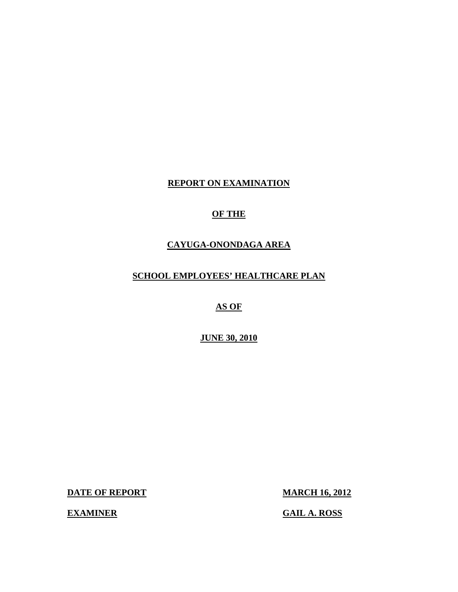## **REPORT ON EXAMINATION**

## **OF THE**

## **CAYUGA-ONONDAGA AREA**

## **SCHOOL EMPLOYEES' HEALTHCARE PLAN**

## **AS OF**

### **JUNE 30, 2010**

**DATE OF REPORT MARCH 16, 2012** 

 **EXAMINER GAIL A. ROSS**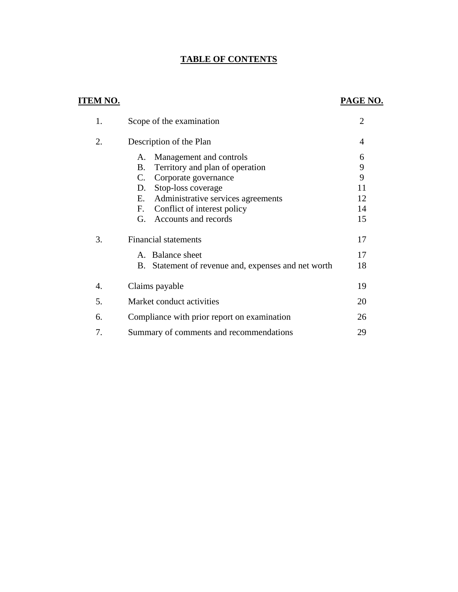## **TABLE OF CONTENTS**

## **ITEM NO. PAGE NO.**

| 1. | Scope of the examination                               | $\overline{2}$ |
|----|--------------------------------------------------------|----------------|
| 2. | Description of the Plan                                | 4              |
|    | Management and controls<br>А.                          | 6              |
|    | Territory and plan of operation<br>Β.                  | 9              |
|    | C.<br>Corporate governance                             | 9              |
|    | Stop-loss coverage<br>D.                               | 11             |
|    | Administrative services agreements<br>Е.               | 12             |
|    | F.<br>Conflict of interest policy                      | 14             |
|    | Accounts and records<br>G.                             | 15             |
| 3. | <b>Financial statements</b>                            | 17             |
|    | A. Balance sheet                                       | 17             |
|    | Statement of revenue and, expenses and net worth<br>В. | 18             |
| 4. | Claims payable                                         | 19             |
| 5. | Market conduct activities                              | 20             |
| 6. | Compliance with prior report on examination            | 26             |
| 7. | Summary of comments and recommendations                | 29             |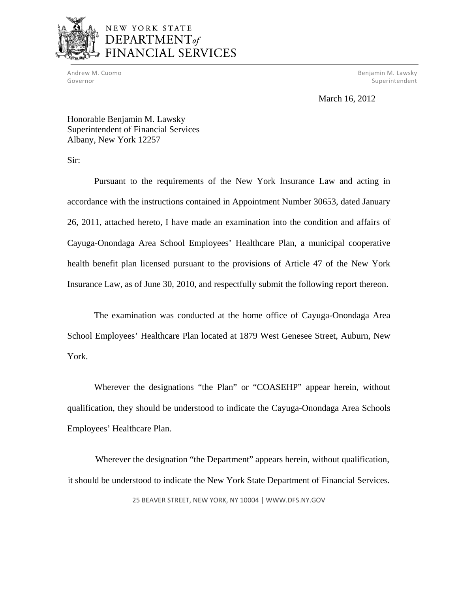

## NEW YORK STATE DEPARTMENT<sub>of</sub> **NCIAL SERVICES**

 Andrew M. Cuomo Benjamin M. Lawsky Governor Superintendent Controller Controller Controller Controller Controller Controller Controller Controller

## March 16, 2012

Honorable Benjamin M. Lawsky Superintendent of Financial Services Albany, New York 12257

Sir:

Pursuant to the requirements of the New York Insurance Law and acting in accordance with the instructions contained in Appointment Number 30653, dated January 26, 2011, attached hereto, I have made an examination into the condition and affairs of Cayuga-Onondaga Area School Employees' Healthcare Plan, a municipal cooperative health benefit plan licensed pursuant to the provisions of Article 47 of the New York Insurance Law, as of June 30, 2010, and respectfully submit the following report thereon.

The examination was conducted at the home office of Cayuga-Onondaga Area School Employees' Healthcare Plan located at 1879 West Genesee Street, Auburn, New York.

Wherever the designations "the Plan" or "COASEHP" appear herein, without qualification, they should be understood to indicate the Cayuga-Onondaga Area Schools Employees' Healthcare Plan.

Wherever the designation "the Department" appears herein, without qualification, it should be understood to indicate the New York State Department of Financial Services.

25 BEAVER STREET, NEW YORK, NY 10004 | <WWW.DFS.NY.GOV>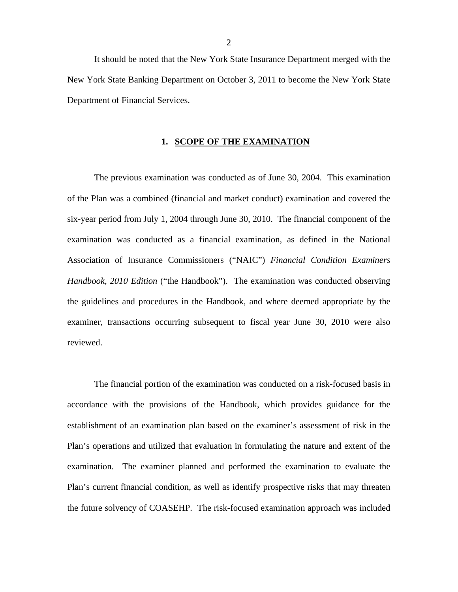It should be noted that the New York State Insurance Department merged with the New York State Banking Department on October 3, 2011 to become the New York State Department of Financial Services.

#### **1. SCOPE OF THE EXAMINATION**

The previous examination was conducted as of June 30, 2004. This examination of the Plan was a combined (financial and market conduct) examination and covered the six-year period from July 1, 2004 through June 30, 2010. The financial component of the examination was conducted as a financial examination, as defined in the National Association of Insurance Commissioners ("NAIC") *Financial Condition Examiners Handbook, 2010 Edition* ("the Handbook"). The examination was conducted observing the guidelines and procedures in the Handbook, and where deemed appropriate by the examiner, transactions occurring subsequent to fiscal year June 30, 2010 were also reviewed.

The financial portion of the examination was conducted on a risk-focused basis in accordance with the provisions of the Handbook, which provides guidance for the establishment of an examination plan based on the examiner's assessment of risk in the Plan's operations and utilized that evaluation in formulating the nature and extent of the examination. The examiner planned and performed the examination to evaluate the Plan's current financial condition, as well as identify prospective risks that may threaten the future solvency of COASEHP. The risk-focused examination approach was included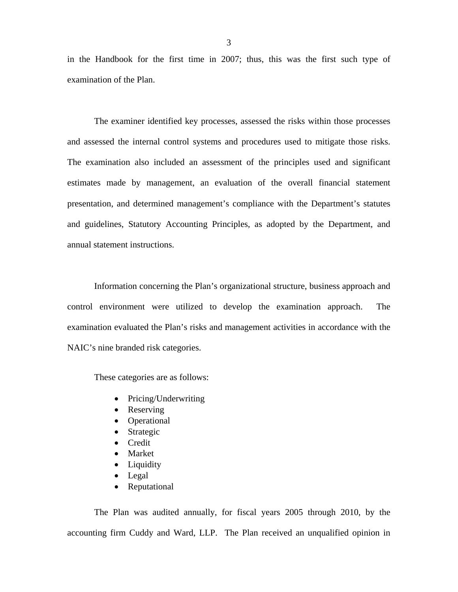in the Handbook for the first time in 2007; thus, this was the first such type of examination of the Plan.

The examiner identified key processes, assessed the risks within those processes and assessed the internal control systems and procedures used to mitigate those risks. The examination also included an assessment of the principles used and significant estimates made by management, an evaluation of the overall financial statement presentation, and determined management's compliance with the Department's statutes and guidelines, Statutory Accounting Principles, as adopted by the Department, and annual statement instructions.

Information concerning the Plan's organizational structure, business approach and control environment were utilized to develop the examination approach. The examination evaluated the Plan's risks and management activities in accordance with the NAIC's nine branded risk categories.

These categories are as follows:

- Pricing/Underwriting
- Reserving
- Operational
- Strategic
- Credit
- Market
- Liquidity
- Legal
- Reputational

The Plan was audited annually, for fiscal years 2005 through 2010, by the accounting firm Cuddy and Ward, LLP. The Plan received an unqualified opinion in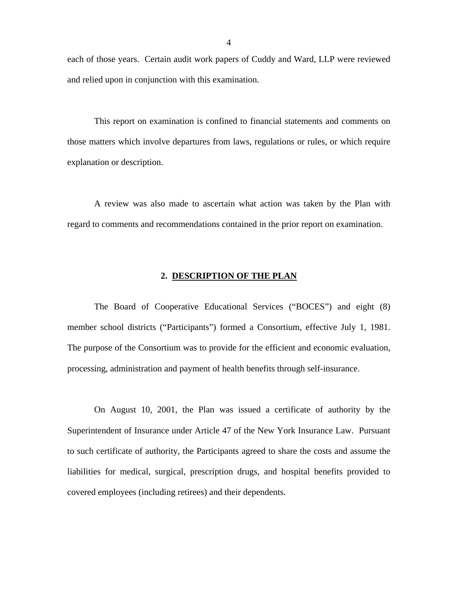each of those years. Certain audit work papers of Cuddy and Ward, LLP were reviewed and relied upon in conjunction with this examination.

This report on examination is confined to financial statements and comments on those matters which involve departures from laws, regulations or rules, or which require explanation or description.

A review was also made to ascertain what action was taken by the Plan with regard to comments and recommendations contained in the prior report on examination.

#### **2. DESCRIPTION OF THE PLAN**

The Board of Cooperative Educational Services ("BOCES") and eight (8) member school districts ("Participants") formed a Consortium, effective July 1, 1981. The purpose of the Consortium was to provide for the efficient and economic evaluation, processing, administration and payment of health benefits through self-insurance.

On August 10, 2001, the Plan was issued a certificate of authority by the Superintendent of Insurance under Article 47 of the New York Insurance Law. Pursuant to such certificate of authority, the Participants agreed to share the costs and assume the liabilities for medical, surgical, prescription drugs, and hospital benefits provided to covered employees (including retirees) and their dependents.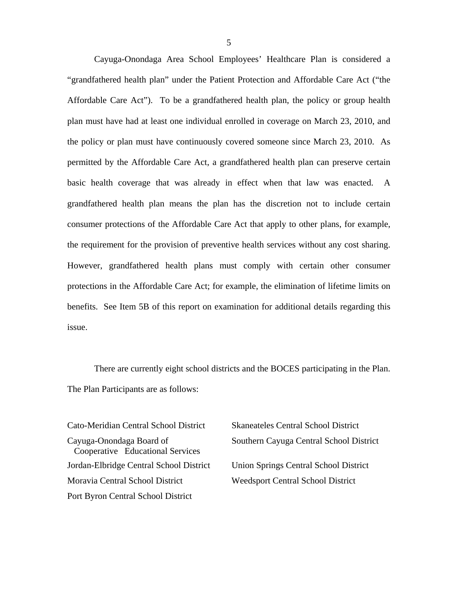Cayuga-Onondaga Area School Employees' Healthcare Plan is considered a "grandfathered health plan" under the Patient Protection and Affordable Care Act ("the Affordable Care Act"). To be a grandfathered health plan, the policy or group health plan must have had at least one individual enrolled in coverage on March 23, 2010, and the policy or plan must have continuously covered someone since March 23, 2010. As permitted by the Affordable Care Act, a grandfathered health plan can preserve certain basic health coverage that was already in effect when that law was enacted. A grandfathered health plan means the plan has the discretion not to include certain consumer protections of the Affordable Care Act that apply to other plans, for example, the requirement for the provision of preventive health services without any cost sharing. However, grandfathered health plans must comply with certain other consumer protections in the Affordable Care Act; for example, the elimination of lifetime limits on benefits. See Item 5B of this report on examination for additional details regarding this issue.

There are currently eight school districts and the BOCES participating in the Plan. The Plan Participants are as follows:

Cato-Meridian Central School District Skaneateles Central School District Cooperative Educational Services Jordan-Elbridge Central School District Union Springs Central School District Moravia Central School District Weedsport Central School District Port Byron Central School District

Cayuga-Onondaga Board of Southern Cayuga Central School District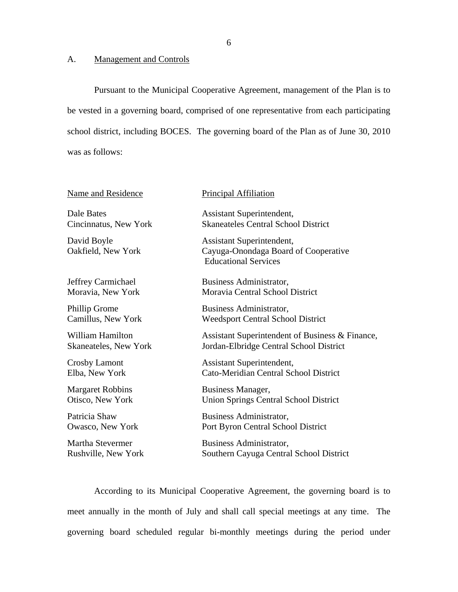### A. Management and Controls

Pursuant to the Municipal Cooperative Agreement, management of the Plan is to be vested in a governing board, comprised of one representative from each participating school district, including BOCES. The governing board of the Plan as of June 30, 2010 was as follows:

| <b>Name and Residence</b>         | <b>Principal Affiliation</b>                                                                     |
|-----------------------------------|--------------------------------------------------------------------------------------------------|
| Dale Bates                        | Assistant Superintendent,                                                                        |
| Cincinnatus, New York             | <b>Skaneateles Central School District</b>                                                       |
| David Boyle<br>Oakfield, New York | Assistant Superintendent,<br>Cayuga-Onondaga Board of Cooperative<br><b>Educational Services</b> |
| Jeffrey Carmichael                | Business Administrator,                                                                          |
| Moravia, New York                 | Moravia Central School District                                                                  |
| Phillip Grome                     | Business Administrator,                                                                          |
| Camillus, New York                | <b>Weedsport Central School District</b>                                                         |
| <b>William Hamilton</b>           | Assistant Superintendent of Business & Finance,                                                  |
| <b>Skaneateles, New York</b>      | Jordan-Elbridge Central School District                                                          |
| <b>Crosby Lamont</b>              | Assistant Superintendent,                                                                        |
| Elba, New York                    | Cato-Meridian Central School District                                                            |
| <b>Margaret Robbins</b>           | Business Manager,                                                                                |
| Otisco, New York                  | <b>Union Springs Central School District</b>                                                     |
| Patricia Shaw                     | Business Administrator,                                                                          |
| <b>Owasco, New York</b>           | Port Byron Central School District                                                               |
| Martha Stevermer                  | Business Administrator,                                                                          |
| Rushville, New York               | Southern Cayuga Central School District                                                          |
|                                   |                                                                                                  |

According to its Municipal Cooperative Agreement, the governing board is to meet annually in the month of July and shall call special meetings at any time. The governing board scheduled regular bi-monthly meetings during the period under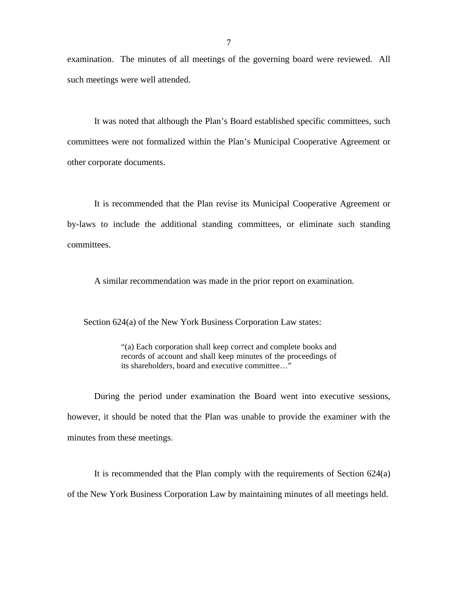examination. The minutes of all meetings of the governing board were reviewed. All such meetings were well attended.

It was noted that although the Plan's Board established specific committees, such committees were not formalized within the Plan's Municipal Cooperative Agreement or other corporate documents.

It is recommended that the Plan revise its Municipal Cooperative Agreement or by-laws to include the additional standing committees, or eliminate such standing committees.

A similar recommendation was made in the prior report on examination.

Section 624(a) of the New York Business Corporation Law states:

"(a) Each corporation shall keep correct and complete books and records of account and shall keep minutes of the proceedings of its shareholders, board and executive committee…"

During the period under examination the Board went into executive sessions, however, it should be noted that the Plan was unable to provide the examiner with the minutes from these meetings.

It is recommended that the Plan comply with the requirements of Section 624(a) of the New York Business Corporation Law by maintaining minutes of all meetings held.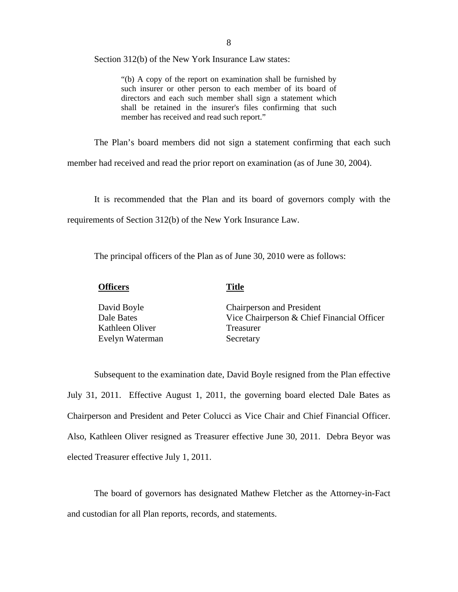Section 312(b) of the New York Insurance Law states:

"(b) A copy of the report on examination shall be furnished by such insurer or other person to each member of its board of directors and each such member shall sign a statement which shall be retained in the insurer's files confirming that such member has received and read such report."

The Plan's board members did not sign a statement confirming that each such

member had received and read the prior report on examination (as of June 30, 2004).

It is recommended that the Plan and its board of governors comply with the requirements of Section 312(b) of the New York Insurance Law.

The principal officers of the Plan as of June 30, 2010 were as follows:

#### **Officers Title**

| David Boyle     | <b>Chairperson and President</b>           |
|-----------------|--------------------------------------------|
| Dale Bates      | Vice Chairperson & Chief Financial Officer |
| Kathleen Oliver | Treasurer                                  |
| Evelyn Waterman | Secretary                                  |

Subsequent to the examination date, David Boyle resigned from the Plan effective July 31, 2011. Effective August 1, 2011, the governing board elected Dale Bates as Chairperson and President and Peter Colucci as Vice Chair and Chief Financial Officer. Also, Kathleen Oliver resigned as Treasurer effective June 30, 2011. Debra Beyor was elected Treasurer effective July 1, 2011.

The board of governors has designated Mathew Fletcher as the Attorney-in-Fact and custodian for all Plan reports, records, and statements.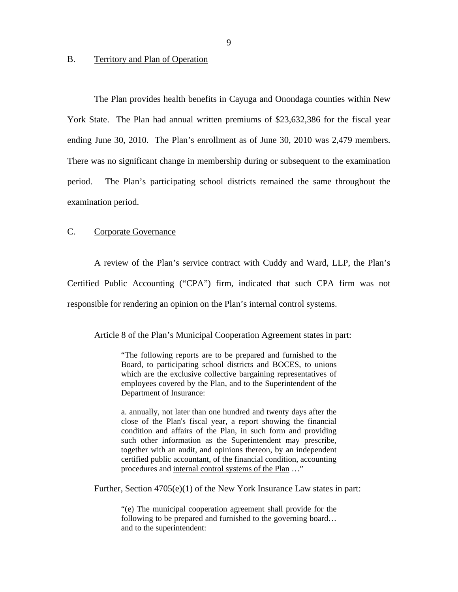#### <span id="page-10-0"></span>B. Territory and Plan of Operation

The Plan provides health benefits in Cayuga and Onondaga counties within New York State. The Plan had annual written premiums of \$23,632,386 for the fiscal year ending June 30, 2010. The Plan's enrollment as of June 30, 2010 was 2,479 members. There was no significant change in membership during or subsequent to the examination period. The Plan's participating school districts remained the same throughout the examination period.

#### $\mathcal{C}$ . Corporate Governance

A review of the Plan's service contract with Cuddy and Ward, LLP, the Plan's Certified Public Accounting ("CPA") firm, indicated that such CPA firm was not responsible for rendering an opinion on the Plan's internal control systems.

Article 8 of the Plan's Municipal Cooperation Agreement states in part:

"The following reports are to be prepared and furnished to the Board, to participating school districts and BOCES, to unions which are the exclusive collective bargaining representatives of employees covered by the Plan, and to the Superintendent of the Department of Insurance:

a. annually, not later than one hundred and twenty days after the close of the Plan's fiscal year, a report showing the financial condition and affairs of the Plan, in such form and providing such other information as the Superintendent may prescribe, together with an audit, and opinions thereon, by an independent certified public accountant, of the financial condition, accounting procedures and internal control systems of the Plan …"

Further, Section 4705(e)(1) of the New York Insurance Law states in part:

"(e) The municipal cooperation agreement shall provide for the following to be prepared and furnished to the governing board… and to the superintendent: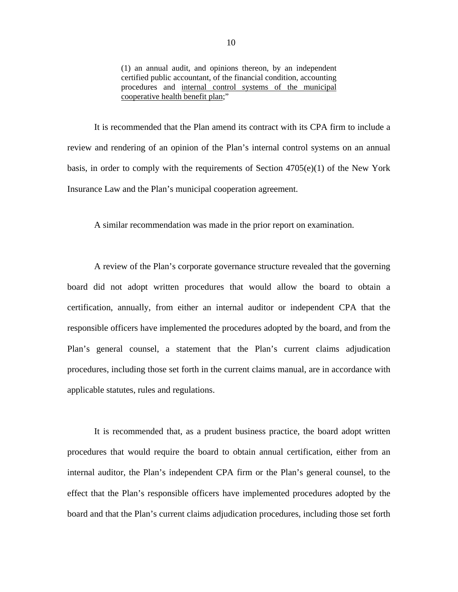(1) an annual audit, and opinions thereon, by an independent certified public accountant, of the financial condition, accounting procedures and internal control systems of the municipal cooperative health benefit plan;"

It is recommended that the Plan amend its contract with its CPA firm to include a review and rendering of an opinion of the Plan's internal control systems on an annual basis, in order to comply with the requirements of Section 4705(e)(1) of the New York Insurance Law and the Plan's municipal cooperation agreement.

A similar recommendation was made in the prior report on examination.

A review of the Plan's corporate governance structure revealed that the governing board did not adopt written procedures that would allow the board to obtain a certification, annually, from either an internal auditor or independent CPA that the responsible officers have implemented the procedures adopted by the board, and from the Plan's general counsel, a statement that the Plan's current claims adjudication procedures, including those set forth in the current claims manual, are in accordance with applicable statutes, rules and regulations.

It is recommended that, as a prudent business practice, the board adopt written procedures that would require the board to obtain annual certification, either from an internal auditor, the Plan's independent CPA firm or the Plan's general counsel, to the effect that the Plan's responsible officers have implemented procedures adopted by the board and that the Plan's current claims adjudication procedures, including those set forth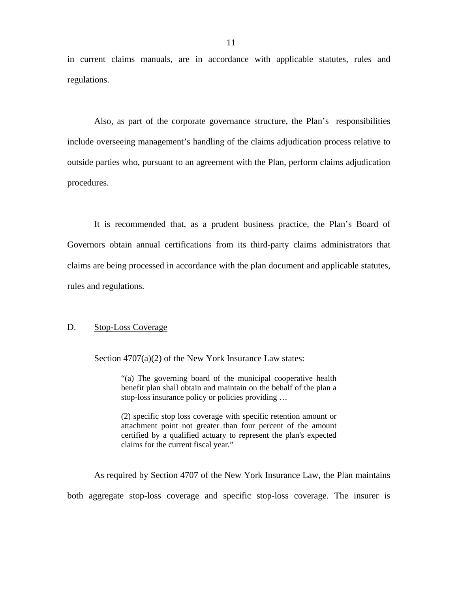<span id="page-12-0"></span>in current claims manuals, are in accordance with applicable statutes, rules and regulations.

Also, as part of the corporate governance structure, the Plan's responsibilities include overseeing management's handling of the claims adjudication process relative to outside parties who, pursuant to an agreement with the Plan, perform claims adjudication procedures.

It is recommended that, as a prudent business practice, the Plan's Board of Governors obtain annual certifications from its third-party claims administrators that claims are being processed in accordance with the plan document and applicable statutes, rules and regulations.

### D. Stop-Loss Coverage

Section 4707(a)(2) of the New York Insurance Law states:

"(a) The governing board of the municipal cooperative health benefit plan shall obtain and maintain on the behalf of the plan a stop-loss insurance policy or policies providing …

(2) specific stop loss coverage with specific retention amount or attachment point not greater than four percent of the amount certified by a qualified actuary to represent the plan's expected claims for the current fiscal year."

As required by Section 4707 of the New York Insurance Law, the Plan maintains both aggregate stop-loss coverage and specific stop-loss coverage. The insurer is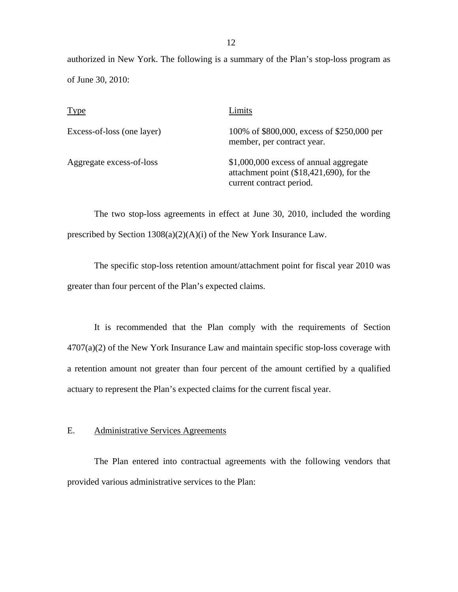<span id="page-13-0"></span>authorized in New York. The following is a summary of the Plan's stop-loss program as of June 30, 2010:

| <b>Type</b>                | Limits                                                                                                         |
|----------------------------|----------------------------------------------------------------------------------------------------------------|
| Excess-of-loss (one layer) | 100% of \$800,000, excess of \$250,000 per<br>member, per contract year.                                       |
| Aggregate excess-of-loss   | \$1,000,000 excess of annual aggregate<br>attachment point (\$18,421,690), for the<br>current contract period. |

The two stop-loss agreements in effect at June 30, 2010, included the wording prescribed by Section 1308(a)(2)(A)(i) of the New York Insurance Law.

The specific stop-loss retention amount/attachment point for fiscal year 2010 was greater than four percent of the Plan's expected claims.

It is recommended that the Plan comply with the requirements of Section  $4707(a)(2)$  of the New York Insurance Law and maintain specific stop-loss coverage with a retention amount not greater than four percent of the amount certified by a qualified actuary to represent the Plan's expected claims for the current fiscal year.

E. Administrative Services Agreements

The Plan entered into contractual agreements with the following vendors that provided various administrative services to the Plan: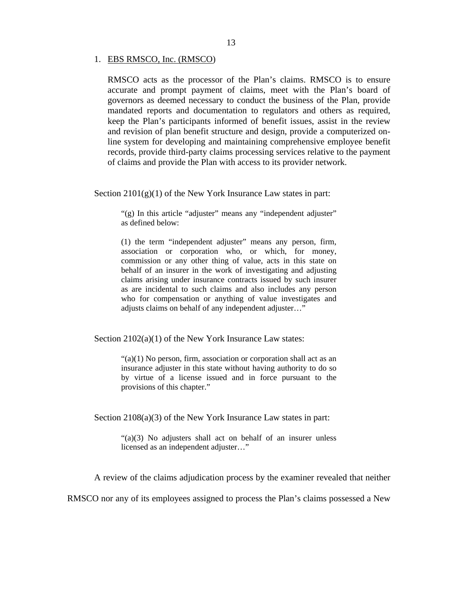#### 1. EBS RMSCO, Inc. (RMSCO)

RMSCO acts as the processor of the Plan's claims. RMSCO is to ensure accurate and prompt payment of claims, meet with the Plan's board of governors as deemed necessary to conduct the business of the Plan, provide mandated reports and documentation to regulators and others as required, keep the Plan's participants informed of benefit issues, assist in the review and revision of plan benefit structure and design, provide a computerized online system for developing and maintaining comprehensive employee benefit records, provide third-party claims processing services relative to the payment of claims and provide the Plan with access to its provider network.

Section  $2101(g)(1)$  of the New York Insurance Law states in part:

"(g) In this article "adjuster" means any "independent adjuster" as defined below:

(1) the term "independent adjuster" means any person, firm, association or corporation who, or which, for money, commission or any other thing of value, acts in this state on behalf of an insurer in the work of investigating and adjusting claims arising under insurance contracts issued by such insurer as are incidental to such claims and also includes any person who for compensation or anything of value investigates and adjusts claims on behalf of any independent adjuster…"

Section 2102(a)(1) of the New York Insurance Law states:

 $\lq(2)(1)$  No person, firm, association or corporation shall act as an insurance adjuster in this state without having authority to do so by virtue of a license issued and in force pursuant to the provisions of this chapter."

Section 2108(a)(3) of the New York Insurance Law states in part:

"(a)(3) No adjusters shall act on behalf of an insurer unless licensed as an independent adjuster…"

A review of the claims adjudication process by the examiner revealed that neither

RMSCO nor any of its employees assigned to process the Plan's claims possessed a New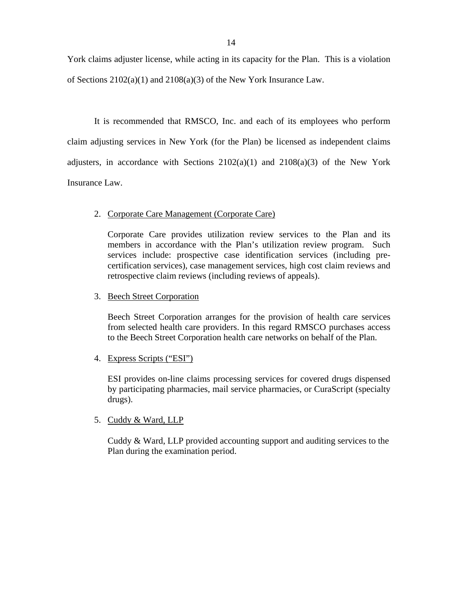<span id="page-15-0"></span>York claims adjuster license, while acting in its capacity for the Plan. This is a violation of Sections 2102(a)(1) and 2108(a)(3) of the New York Insurance Law.

It is recommended that RMSCO, Inc. and each of its employees who perform claim adjusting services in New York (for the Plan) be licensed as independent claims adjusters, in accordance with Sections  $2102(a)(1)$  and  $2108(a)(3)$  of the New York Insurance Law.

## 2. Corporate Care Management (Corporate Care)

Corporate Care provides utilization review services to the Plan and its members in accordance with the Plan's utilization review program. Such services include: prospective case identification services (including precertification services), case management services, high cost claim reviews and retrospective claim reviews (including reviews of appeals).

## 3. Beech Street Corporation

Beech Street Corporation arranges for the provision of health care services from selected health care providers. In this regard RMSCO purchases access to the Beech Street Corporation health care networks on behalf of the Plan.

## 4. Express Scripts ("ESI")

ESI provides on-line claims processing services for covered drugs dispensed by participating pharmacies, mail service pharmacies, or CuraScript (specialty drugs).

## 5. Cuddy & Ward, LLP

Cuddy & Ward, LLP provided accounting support and auditing services to the Plan during the examination period.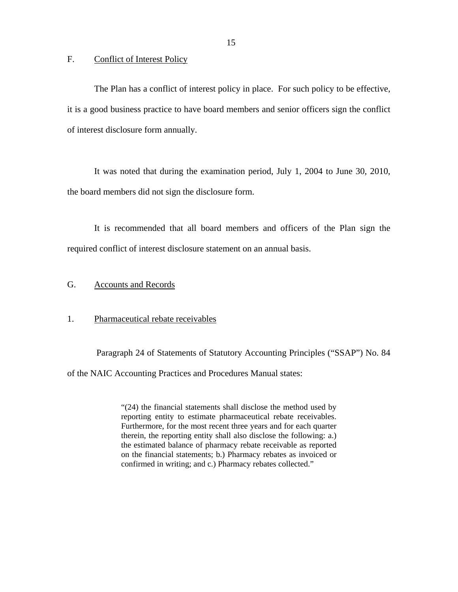<span id="page-16-0"></span>F. Conflict of Interest Policy

The Plan has a conflict of interest policy in place. For such policy to be effective, it is a good business practice to have board members and senior officers sign the conflict of interest disclosure form annually.

It was noted that during the examination period, July 1, 2004 to June 30, 2010, the board members did not sign the disclosure form.

It is recommended that all board members and officers of the Plan sign the required conflict of interest disclosure statement on an annual basis.

## G. Accounts and Records

#### 1. Pharmaceutical rebate receivables

Paragraph 24 of Statements of Statutory Accounting Principles ("SSAP") No. 84 of the NAIC Accounting Practices and Procedures Manual states:

> reporting entity to estimate pharmaceutical rebate receivables. "(24) the financial statements shall disclose the method used by Furthermore, for the most recent three years and for each quarter therein, the reporting entity shall also disclose the following: a.) the estimated balance of pharmacy rebate receivable as reported on the financial statements; b.) Pharmacy rebates as invoiced or confirmed in writing; and c.) Pharmacy rebates collected."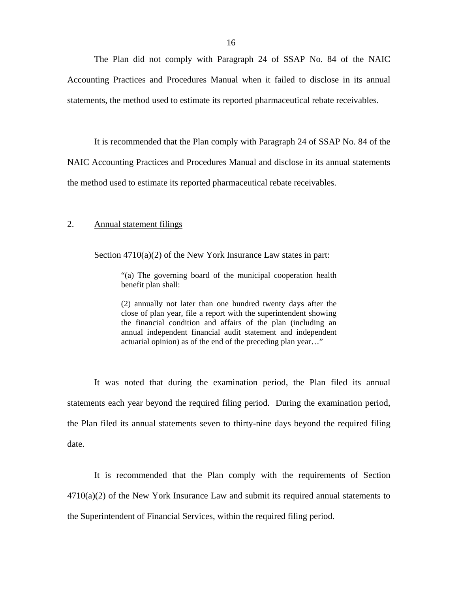The Plan did not comply with Paragraph 24 of SSAP No. 84 of the NAIC Accounting Practices and Procedures Manual when it failed to disclose in its annual statements, the method used to estimate its reported pharmaceutical rebate receivables.

It is recommended that the Plan comply with Paragraph 24 of SSAP No. 84 of the NAIC Accounting Practices and Procedures Manual and disclose in its annual statements

the method used to estimate its reported pharmaceutical rebate receivables.

#### 2. Annual statement filings

Section 4710(a)(2) of the New York Insurance Law states in part:

"(a) The governing board of the municipal cooperation health benefit plan shall:

(2) annually not later than one hundred twenty days after the close of plan year, file a report with the superintendent showing the financial condition and affairs of the plan (including an annual independent financial audit statement and independent actuarial opinion) as of the end of the preceding plan year…"

It was noted that during the examination period, the Plan filed its annual statements each year beyond the required filing period. During the examination period, the Plan filed its annual statements seven to thirty-nine days beyond the required filing date.

It is recommended that the Plan comply with the requirements of Section  $4710(a)(2)$  of the New York Insurance Law and submit its required annual statements to the Superintendent of Financial Services, within the required filing period.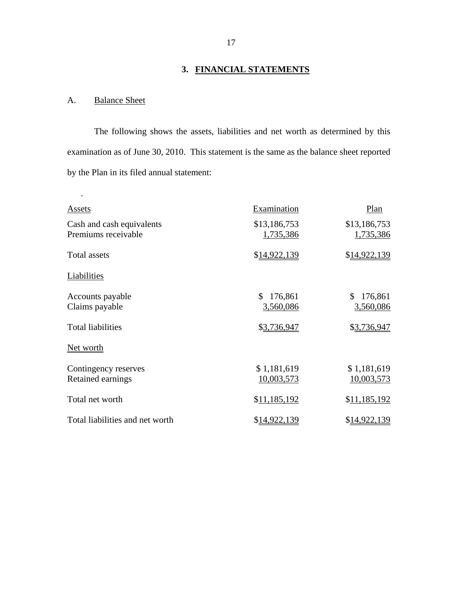# **3. FINANCIAL STATEMENTS**

## A. Balance Sheet

.

The following shows the assets, liabilities and net worth as determined by this examination as of June 30, 2010. This statement is the same as the balance sheet reported by the Plan in its filed annual statement:

| Assets                                           | Examination                | Plan                       |
|--------------------------------------------------|----------------------------|----------------------------|
| Cash and cash equivalents<br>Premiums receivable | \$13,186,753<br>1,735,386  | \$13,186,753<br>1,735,386  |
| <b>Total assets</b>                              | \$14,922,139               | \$14,922,139               |
| Liabilities                                      |                            |                            |
| Accounts payable<br>Claims payable               | \$<br>176,861<br>3,560,086 | 176,861<br>\$<br>3,560,086 |
| <b>Total liabilities</b>                         | \$3,736,947                | \$3,736,947                |
| Net worth                                        |                            |                            |
| Contingency reserves<br>Retained earnings        | \$1,181,619<br>10,003,573  | \$1,181,619<br>10,003,573  |
| Total net worth                                  | \$11,185,192               | \$11,185,192               |
| Total liabilities and net worth                  | <u>\$14,922,139</u>        | \$14,922,139               |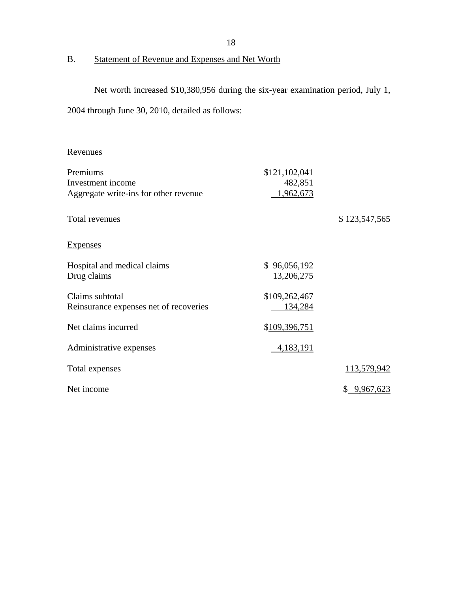B. Statement of Revenue and Expenses and Net Worth

Net worth increased \$10,380,956 during the six-year examination period, July 1,

2004 through June 30, 2010, detailed as follows:

## Revenues

| Premiums                               | \$121,102,041 |                    |
|----------------------------------------|---------------|--------------------|
| Investment income                      | 482,851       |                    |
| Aggregate write-ins for other revenue  | 1,962,673     |                    |
| Total revenues                         |               | \$123,547,565      |
| <b>Expenses</b>                        |               |                    |
| Hospital and medical claims            | \$96,056,192  |                    |
| Drug claims                            | 13,206,275    |                    |
| Claims subtotal                        | \$109,262,467 |                    |
| Reinsurance expenses net of recoveries | 134,284       |                    |
| Net claims incurred                    | \$109,396,751 |                    |
| Administrative expenses                | 4,183,191     |                    |
| Total expenses                         |               | 113,579,942        |
| Net income                             |               | <u>\$9,967,623</u> |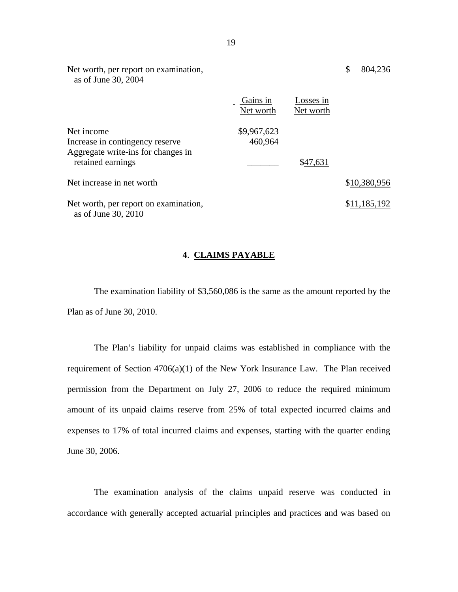| Net worth, per report on examination,<br>as of June 30, 2004                                             |                        |                        | \$<br>804,236 |
|----------------------------------------------------------------------------------------------------------|------------------------|------------------------|---------------|
|                                                                                                          | Gains in<br>Net worth  | Losses in<br>Net worth |               |
| Net income<br>Increase in contingency reserve<br>Aggregate write-ins for changes in<br>retained earnings | \$9,967,623<br>460,964 | \$47,631               |               |
| Net increase in net worth                                                                                |                        |                        | \$10,380,956  |
| Net worth, per report on examination,<br>as of June 30, 2010                                             |                        |                        | \$11,185,192  |

## **4**. **CLAIMS PAYABLE**

The examination liability of \$3,560,086 is the same as the amount reported by the Plan as of June 30, 2010.

The Plan's liability for unpaid claims was established in compliance with the requirement of Section 4706(a)(1) of the New York Insurance Law. The Plan received permission from the Department on July 27, 2006 to reduce the required minimum amount of its unpaid claims reserve from 25% of total expected incurred claims and expenses to 17% of total incurred claims and expenses, starting with the quarter ending June 30, 2006.

The examination analysis of the claims unpaid reserve was conducted in accordance with generally accepted actuarial principles and practices and was based on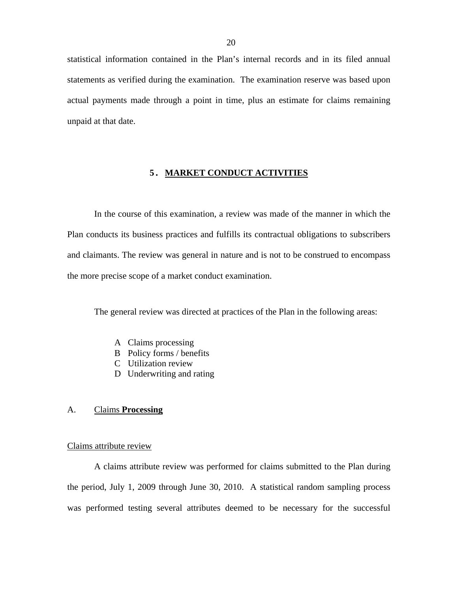<span id="page-21-0"></span>statistical information contained in the Plan's internal records and in its filed annual statements as verified during the examination. The examination reserve was based upon actual payments made through a point in time, plus an estimate for claims remaining unpaid at that date.

## **5. MARKET CONDUCT ACTIVITIES**

In the course of this examination, a review was made of the manner in which the Plan conducts its business practices and fulfills its contractual obligations to subscribers and claimants. The review was general in nature and is not to be construed to encompass the more precise scope of a market conduct examination.

The general review was directed at practices of the Plan in the following areas:

- A Claims processing
- B Policy forms / benefits
- C Utilization review
- D Underwriting and rating

### A. Claims **Processing**

#### Claims attribute review

A claims attribute review was performed for claims submitted to the Plan during the period, July 1, 2009 through June 30, 2010. A statistical random sampling process was performed testing several attributes deemed to be necessary for the successful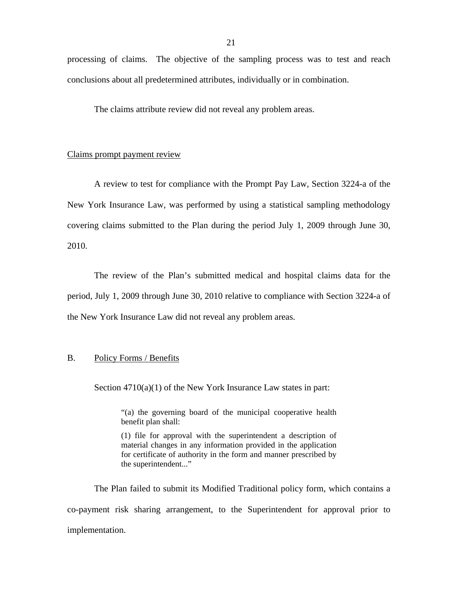processing of claims. The objective of the sampling process was to test and reach conclusions about all predetermined attributes, individually or in combination.

The claims attribute review did not reveal any problem areas.

#### Claims prompt payment review

A review to test for compliance with the Prompt Pay Law, Section 3224-a of the New York Insurance Law, was performed by using a statistical sampling methodology covering claims submitted to the Plan during the period July 1, 2009 through June 30, 2010.

The review of the Plan's submitted medical and hospital claims data for the period, July 1, 2009 through June 30, 2010 relative to compliance with Section 3224-a of the New York Insurance Law did not reveal any problem areas.

## B. Policy Forms / Benefits

Section  $4710(a)(1)$  of the New York Insurance Law states in part:

"(a) the governing board of the municipal cooperative health benefit plan shall:

 for certificate of authority in the form and manner prescribed by (1) file for approval with the superintendent a description of material changes in any information provided in the application the superintendent..."

The Plan failed to submit its Modified Traditional policy form, which contains a co-payment risk sharing arrangement, to the Superintendent for approval prior to implementation.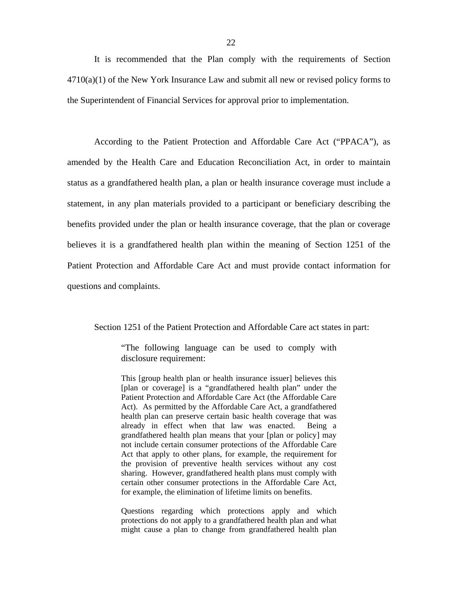It is recommended that the Plan comply with the requirements of Section  $4710(a)(1)$  of the New York Insurance Law and submit all new or revised policy forms to the Superintendent of Financial Services for approval prior to implementation.

According to the Patient Protection and Affordable Care Act ("PPACA"), as amended by the Health Care and Education Reconciliation Act, in order to maintain status as a grandfathered health plan, a plan or health insurance coverage must include a statement, in any plan materials provided to a participant or beneficiary describing the benefits provided under the plan or health insurance coverage, that the plan or coverage believes it is a grandfathered health plan within the meaning of Section 1251 of the Patient Protection and Affordable Care Act and must provide contact information for questions and complaints.

Section 1251 of the Patient Protection and Affordable Care act states in part:

"The following language can be used to comply with disclosure requirement:

 grandfathered health plan means that your [plan or policy] may This [group health plan or health insurance issuer] believes this [plan or coverage] is a "grandfathered health plan" under the Patient Protection and Affordable Care Act (the Affordable Care Act). As permitted by the Affordable Care Act, a grandfathered health plan can preserve certain basic health coverage that was already in effect when that law was enacted. Being a not include certain consumer protections of the Affordable Care Act that apply to other plans, for example, the requirement for the provision of preventive health services without any cost sharing. However, grandfathered health plans must comply with certain other consumer protections in the Affordable Care Act, for example, the elimination of lifetime limits on benefits.

Questions regarding which protections apply and which protections do not apply to a grandfathered health plan and what might cause a plan to change from grandfathered health plan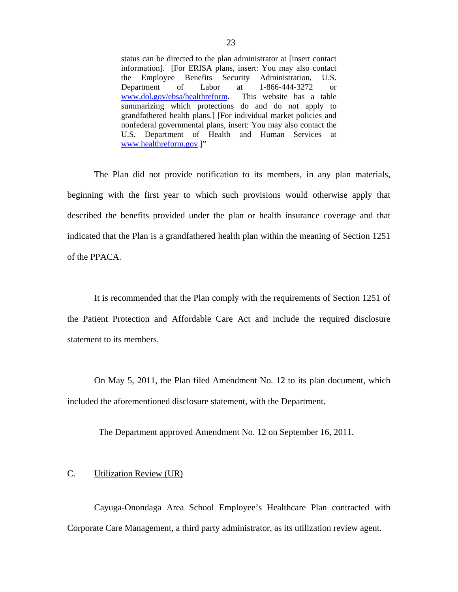status can be directed to the plan administrator at [insert contact information]. [For ERISA plans, insert: You may also contact the Employee Benefits Security Administration, U.S. Department of Labor at 1-866-444-3272 or <www.dol.gov/ebsa/healthreform>. This website has a table summarizing which protections do and do not apply to grandfathered health plans.] [For individual market policies and nonfederal governmental plans, insert: You may also contact the U.S. Department of Health and Human Services at [www.healthreform.gov.](www.healthreform.gov)]"

The Plan did not provide notification to its members, in any plan materials, beginning with the first year to which such provisions would otherwise apply that described the benefits provided under the plan or health insurance coverage and that indicated that the Plan is a grandfathered health plan within the meaning of Section 1251 of the PPACA.

It is recommended that the Plan comply with the requirements of Section 1251 of the Patient Protection and Affordable Care Act and include the required disclosure statement to its members.

On May 5, 2011, the Plan filed Amendment No. 12 to its plan document, which included the aforementioned disclosure statement, with the Department.

The Department approved Amendment No. 12 on September 16, 2011.

## C. Utilization Review (UR)

Cayuga-Onondaga Area School Employee's Healthcare Plan contracted with Corporate Care Management, a third party administrator, as its utilization review agent.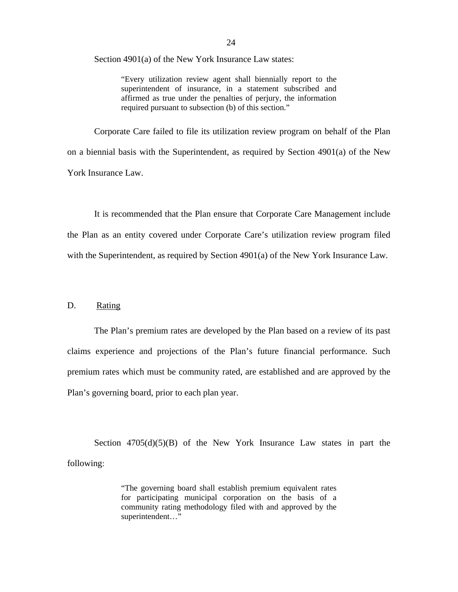Section 4901(a) of the New York Insurance Law states:

"Every utilization review agent shall biennially report to the superintendent of insurance, in a statement subscribed and affirmed as true under the penalties of perjury, the information required pursuant to subsection (b) of this section."

Corporate Care failed to file its utilization review program on behalf of the Plan on a biennial basis with the Superintendent, as required by Section 4901(a) of the New York Insurance Law.

It is recommended that the Plan ensure that Corporate Care Management include the Plan as an entity covered under Corporate Care's utilization review program filed with the Superintendent, as required by Section 4901(a) of the New York Insurance Law.

### D. Rating

The Plan's premium rates are developed by the Plan based on a review of its past claims experience and projections of the Plan's future financial performance. Such premium rates which must be community rated, are established and are approved by the Plan's governing board, prior to each plan year.

Section  $4705(d)(5)(B)$  of the New York Insurance Law states in part the following:

> "The governing board shall establish premium equivalent rates for participating municipal corporation on the basis of a community rating methodology filed with and approved by the superintendent…"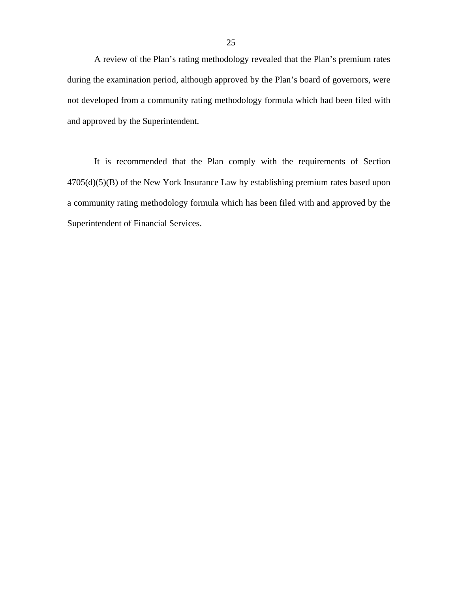A review of the Plan's rating methodology revealed that the Plan's premium rates during the examination period, although approved by the Plan's board of governors, were not developed from a community rating methodology formula which had been filed with and approved by the Superintendent.

It is recommended that the Plan comply with the requirements of Section 4705(d)(5)(B) of the New York Insurance Law by establishing premium rates based upon a community rating methodology formula which has been filed with and approved by the Superintendent of Financial Services.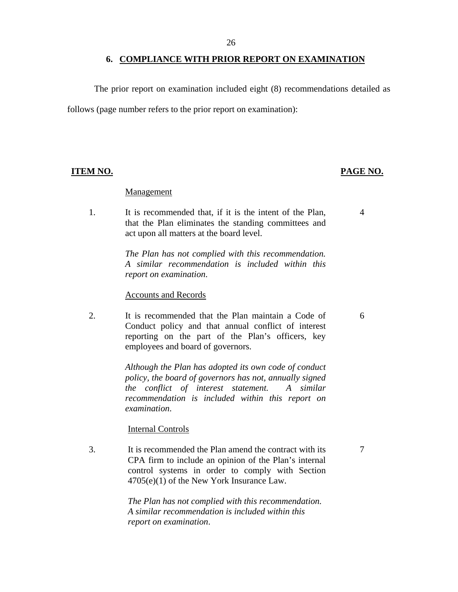#### **6. COMPLIANCE WITH PRIOR REPORT ON EXAMINATION**

The prior report on examination included eight (8) recommendations detailed as follows (page number refers to the prior report on examination):

#### **Management**

1. It is recommended that, if it is the intent of the Plan, that the Plan eliminates the standing committees and act upon all matters at the board level.

> *The Plan has not complied with this recommendation. A similar recommendation is included within this report on examination*.

#### Accounts and Records

2. It is recommended that the Plan maintain a Code of Conduct policy and that annual conflict of interest reporting on the part of the Plan's officers, key employees and board of governors.

> *Although the Plan has adopted its own code of conduct policy, the board of governors has not, annually signed the conflict of interest statement. A similar recommendation is included within this report on examination*.

### Internal Controls

3. It is recommended the Plan amend the contract with its CPA firm to include an opinion of the Plan's internal control systems in order to comply with Section 4705(e)(1) of the New York Insurance Law.

> *The Plan has not complied with this recommendation. A similar recommendation is included within this report on examination*.

### **ITEM NO. PAGE NO.**

4

6

7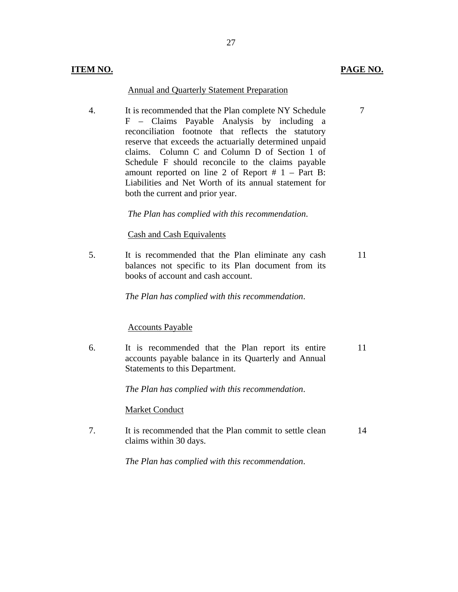#### Annual and Quarterly Statement Preparation

4. It is recommended that the Plan complete NY Schedule F – Claims Payable Analysis by including a reconciliation footnote that reflects the statutory reserve that exceeds the actuarially determined unpaid claims. Column C and Column D of Section 1 of Schedule F should reconcile to the claims payable amount reported on line 2 of Report  $# 1 - Part B$ : Liabilities and Net Worth of its annual statement for both the current and prior year.

*The Plan has complied with this recommendation*.

### Cash and Cash Equivalents

5. It is recommended that the Plan eliminate any cash balances not specific to its Plan document from its books of account and cash account. 11

*The Plan has complied with this recommendation*.

### Accounts Payable

6. It is recommended that the Plan report its entire accounts payable balance in its Quarterly and Annual Statements to this Department. 11

*The Plan has complied with this recommendation*.

### Market Conduct

7. It is recommended that the Plan commit to settle clean claims within 30 days. 14

*The Plan has complied with this recommendation*.

## **ITEM NO. PAGE NO.**

7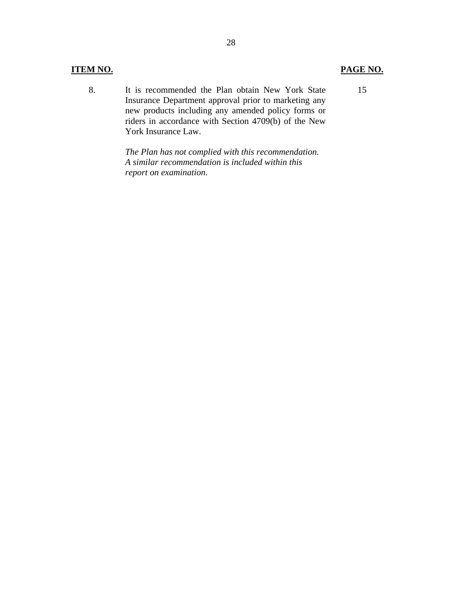### **ITEM NO. PAGE NO.**

8. It is recommended the Plan obtain New York State Insurance Department approval prior to marketing any new products including any amended policy forms or riders in accordance with Section 4709(b) of the New York Insurance Law.

> *The Plan has not complied with this recommendation. A similar recommendation is included within this report on examination*.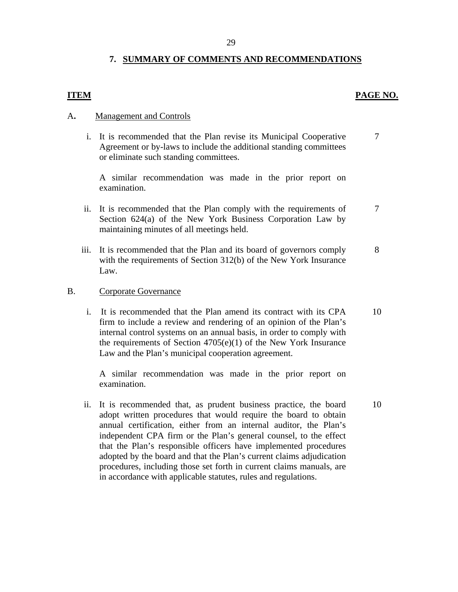## **7. SUMMARY OF COMMENTS AND RECOMMENDATIONS**

## **ITEM** PAGE NO.

10

## A**.** Management and Controls

i. It is recommended that the Plan revise its Municipal Cooperative Agreement or by-laws to include the additional standing committees or eliminate such standing committees. 7

A similar recommendation was made in the prior report on examination.

- ii. It is recommended that the Plan comply with the requirements of Section 624(a) of the New York Business Corporation Law by maintaining minutes of all meetings held. 7
- iii. It is recommended that the Plan and its board of governors comply with the requirements of Section 312(b) of the New York Insurance Law. 8
- **Corporate Governance**
- B. Corporate Governance<br>i. It is recommended that the Plan amend its contract with its CPA firm to include a review and rendering of an opinion of the Plan's internal control systems on an annual basis, in order to comply with the requirements of Section 4705(e)(1) of the New York Insurance Law and the Plan's municipal cooperation agreement. 10

A similar recommendation was made in the prior report on examination.

ii. It is recommended that, as prudent business practice, the board adopt written procedures that would require the board to obtain annual certification, either from an internal auditor, the Plan's independent CPA firm or the Plan's general counsel, to the effect that the Plan's responsible officers have implemented procedures adopted by the board and that the Plan's current claims adjudication procedures, including those set forth in current claims manuals, are in accordance with applicable statutes, rules and regulations.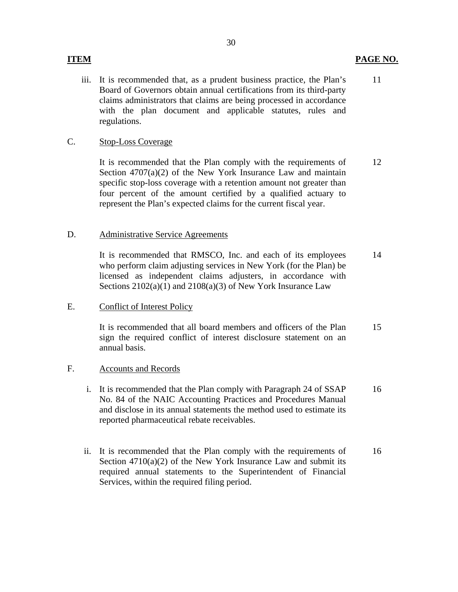## **ITEM PAGE NO.**

iii. It is recommended that, as a prudent business practice, the Plan's Board of Governors obtain annual certifications from its third-party claims administrators that claims are being processed in accordance with the plan document and applicable statutes, rules and regulations. 11

## C. Stop-Loss Coverage

It is recommended that the Plan comply with the requirements of Section 4707(a)(2) of the New York Insurance Law and maintain specific stop-loss coverage with a retention amount not greater than four percent of the amount certified by a qualified actuary to represent the Plan's expected claims for the current fiscal year. 12

### D. Administrative Service Agreements

It is recommended that RMSCO, Inc. and each of its employees who perform claim adjusting services in New York (for the Plan) be licensed as independent claims adjusters, in accordance with Sections 2102(a)(1) and 2108(a)(3) of New York Insurance Law 14

## E. Conflict of Interest Policy

It is recommended that all board members and officers of the Plan sign the required conflict of interest disclosure statement on an annual basis. 15

### F. Accounts and Records

- i. It is recommended that the Plan comply with Paragraph 24 of SSAP No. 84 of the NAIC Accounting Practices and Procedures Manual and disclose in its annual statements the method used to estimate its reported pharmaceutical rebate receivables. 16
- ii. It is recommended that the Plan comply with the requirements of Section 4710(a)(2) of the New York Insurance Law and submit its required annual statements to the Superintendent of Financial Services, within the required filing period. 16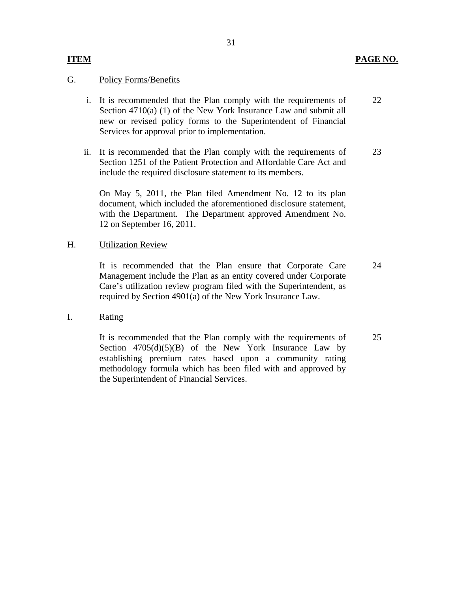## **ITEM** PAGE NO.

## **Policy Forms/Benefits**

G. Policy Forms/Benefits<br>i. It is recommended that the Plan comply with the requirements of Section 4710(a) (1) of the New York Insurance Law and submit all new or revised policy forms to the Superintendent of Financial Services for approval prior to implementation. 22

31

ii. It is recommended that the Plan comply with the requirements of Section 1251 of the Patient Protection and Affordable Care Act and include the required disclosure statement to its members. 23

On May 5, 2011, the Plan filed Amendment No. 12 to its plan document, which included the aforementioned disclosure statement, with the Department. The Department approved Amendment No. 12 on September 16, 2011.

## H. Utilization Review

It is recommended that the Plan ensure that Corporate Care Management include the Plan as an entity covered under Corporate Care's utilization review program filed with the Superintendent, as required by Section 4901(a) of the New York Insurance Law. 24

### I. Rating

It is recommended that the Plan comply with the requirements of Section  $4705(d)(5)(B)$  of the New York Insurance Law by establishing premium rates based upon a community rating methodology formula which has been filed with and approved by the Superintendent of Financial Services. 25